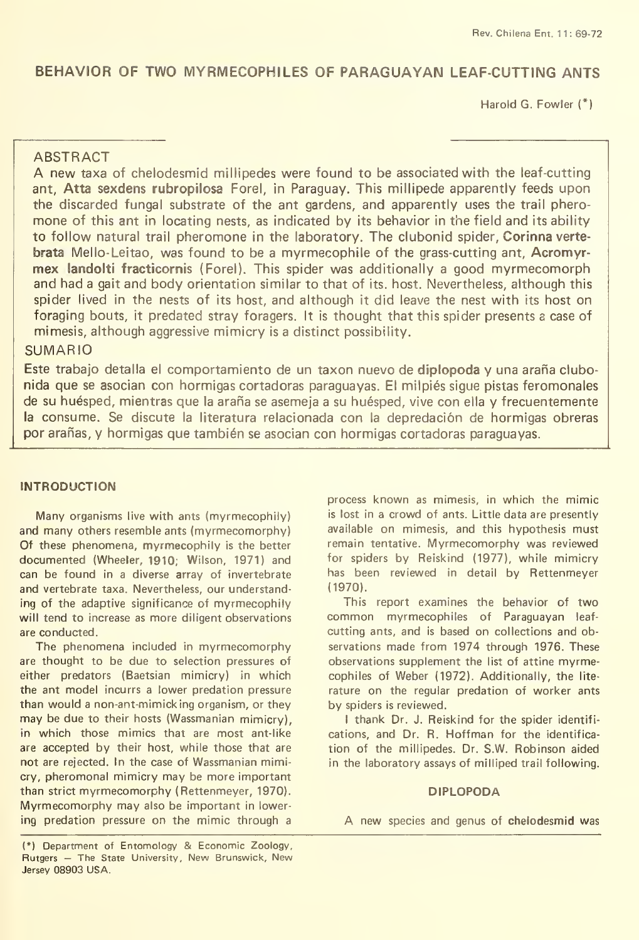# BEHAVIOR OF TWO MYRMECOPHILES OF PARAGUAYAN LEAF-CUTTING ANTS

Harold G. Fowler (\*)

# ABSTRACT

A new taxa of chelodesmid millipedes were found to be associated with the leaf-cutting ant, Atta sexdens rubropilosa Forel, in Paraguay. This millipede apparently feeds upon the discarded fungal substrate of the ant gardens, and apparently uses the trail phero mone of this ant in locating nests, as indicated by its behavior in the field and its abiiity to follow natural trail pheromone in the laboratory. The clubonid spider, Corinna verté brata Mello-Leitao, was found to be a myrmecophile of the grass-cutting ant, Acromyrmex landolti fracticornis (Forel). This spider was additionally <sup>a</sup> good myrmecomorph and had a gait and body orientation similar to that of its. host. Nevertheless, although this spider lived in the nests of its host, and although it did leave the nest with its host on foraging bouts, it predated stray foragers. It is thought that this spider presents a case of mimesis, although aggressive mimicry is a distinct possibility.

# SUMARIO

Este trabajo detalla el comportamiento de un taxon nuevo de diplopoda y una araña clubonida que se asocian con hormigas cortadoras paraguayas. El milpiés sigue pistas feromonales de su huésped, mientras que laaraña se asemeja <sup>a</sup> su huésped, vive con ella y frecuentemente la consume. Se discute la literatura relacionada con la depredación de hormigas obreras por arañas, y hormigas que también se asocian con hormigas cortadoras paraguayas.

# **INTRODUCTION**

Many organisms live with ants (myrmecophily) and many others resemble ants (myrmecomorphy) Of these phenomena, myrmecophily is the better documented (Wheeler, 1910; Wilson, 1971) and can be found in a diverse array of invertebrate and vertebrate taxa. Nevertheless, our understanding of the adaptive significance of myrmecophily will tend to increase as more diligent observations are conducted.

The phenomena included in myrmecomorphy are thought to be due to selection pressures of either predators (Baetsian mimicry) in which the ant model incurrs a lower predation pressure than would a non-ant-mimicking organism, or they may be due to their hosts (Wassmanian mimicry). in which those mimics that are most ant-like are accepted by their host, while those that are not are rejected. In the case of Wassmanian mimicry, pheromonal mimicry may be more important than strict myrmecomorphy (Rettenmeyer, 1970). Myrmecomorphy may also be important in lowering predation pressure on the mimic through a

process known as mimesis, in which the mimic is lost in a crowd of ants. Little data are presently available on mimesis, and this hypothesis must remain tentative. Myrmecomorphy was reviewed for spiders by Reiskind (1977), while mimicry has been reviewed in detail by Rettenmeyer (1970).

This report examines the behavior of two common myrmecophlles of Paraguayan leaf cutting ants, and is based on collections and observations made from 1974 through 1976. These observations supplement the list of attine myrmecophiles of Weber (1972). Additionally, the literature on the regular predation of worker ants by spiders is reviewed.

I thank Dr. J. Reiskind for the spider identifications, and Dr. R. Hoffman for the identification of the millipedes. Dr. S.W. Robinson aided in the laboratory assays of milliped trail following.

## DIPLOPODA

A new specles and genus of chelodesmid was

<sup>(\*)</sup> Department of Entomology & Economic Zoology, Rutgers — The State University, New Brunswick, New Jersey 08903 USA.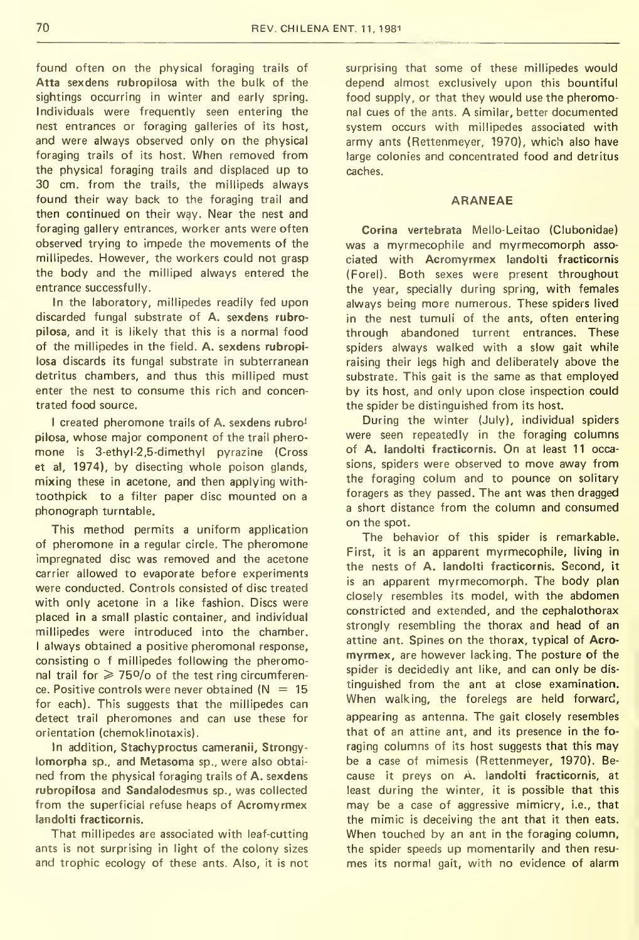found often on the physical foraging trails of Atta sexdens rubropilosa with the bulk of the sightings occurring in winter and early spring. Individuáis were frequently seen entering the nest entrances or foraging galleries of its host, and were always observed only on the physical foraging trails of its host. When removed from the physical foraging trails and displaced up to 30 cm. from the trails, the millipeds always found their way back to the foraging trail and then continued on their way. Near the nest and foraging gallery entrances, worker ants were often observed trying to impede the movements of the millipedes. However, the workers could not grasp the body and the milliped always entered the entrance successfully.

In the laboratory, millipedes readily fed upon discarded fungal substrate of A. sexdens rubropilosa, and it is likely that this is a normal food of the millipedes in the field. A. sexdens rubropilosa discards its fungal substrate in subterranean detritus chambers, and thus this milliped must enter the nest to consume this rich and concentrated food source.

I created pheromone trails of A, sexdens rubro<sup>1</sup> pilosa, whose major component of the trail phero mone is 3-ethyl-2,5-dimethyl pyrazine (Cross et al, 1974), by disecting whole poison glands, mixing these in acetone, and then applying withtoothpick to <sup>a</sup> filter paper disc mounted on a phonograph turntable.

This method permits <sup>a</sup> uniform application of pheromone in <sup>a</sup> regular circle. The pheromone impregnated disc was removed and the acetone carrier allowed to evaporate before experiments were conducted. Controls consisted of disc treated with only acetone in a like fashion. Discs were placed in a small plastic container, and individual millipedes were introduced into the chamber. <sup>I</sup> always obtained a positive pheromonal response, consisting o <sup>f</sup> millipedes following the pheromonal trail for  $\geq$  75%/o of the test ring circumference. Positive controls were never obtained  $(N = 15$ for each). This suggests that the millipedes can detect trail pheromones and can use these for orientation (chemokiinotaxis).

In addition, Stachyproctus cameranii, Strongy lomorpha sp., and Metasoma sp., were also obtai ned from the physical foraging trails of A. sexdens rubropilosa and Sandalodesmus sp., was collected from the superficial refuse heaps of Acromyrmex landolti fracticornis.

That millipedes are associated with leaf-cutting ants is not surprising in light of the colony sizes and trophic ecology of these ants. Also, it is not surprising that some of these millipedes would depend almost exclusively upon this bountiful food supply, or that they would use the pheromonal cues of the ants. A similar, better documented system occurs with millipedes associated with army ants (Rettenmeyer, 1970), which also have large colonies and concentrated food and detritus caches.

#### ARANEAE

Corina vertebrata Mello-Leitao (Clubonidae) was <sup>a</sup> myrmecophile and myrmecomorph asso ciated with Acromyrmex landolti fracticornis (Forel). Both sexes were present throughout the year, specially during spring, with females always being more numerous. These spiders lived in the nest tumuli of the ants, often entering through abandoned turrent entrances. These spiders always waiked with a slow gait while raising their legs high and deliberately above the substrate. This gait is the same as that employed by its host, and only upon close inspection could the spider be distinguished from its host.

During the winter (July), individual spiders were seen repeatedly in the foraging columns of A. landolti fracticornis. On at least <sup>11</sup> occasions, spiders were observed to move away from the foraging colum and to pounce on solitary foragers as they passed. The ant was then dragged a short distance from the column and consumed on the spot.

The behavior of this spider is remarkable. First, it is an apparent myrmecophile, living in the nests of A. landolti fracticornis. Second, it is an apparent myrmecomorph. The body plan closely resembles its model, with the abdomen constricted and extended, and the cephalothorax strongly resembling the thorax and head of an attine ant. Spines on the thorax, typical of Acromyrmex, are however lacking. The posture of the spider is decidedly ant like, and can only be dis tinguished from the ant at close examination. When waiking, the forelegs are held forward, appearing as antenna. The gait closely resembles that of an attine ant, and its presence in the fo raging columns of its host suggests that this may be a case of mimesis (Rettenmeyer, 1970). Be cause it preys on A. landolti fracticornis, at least during the winter, it is possible that this may be <sup>a</sup> case of aggressive mimicry, i.e., that the mimic is deceiving the ant that it then eats. When touched by an ant in the foraging column. the spider speeds up momentarily and then resu mes its normal gait, with no evidence of alarm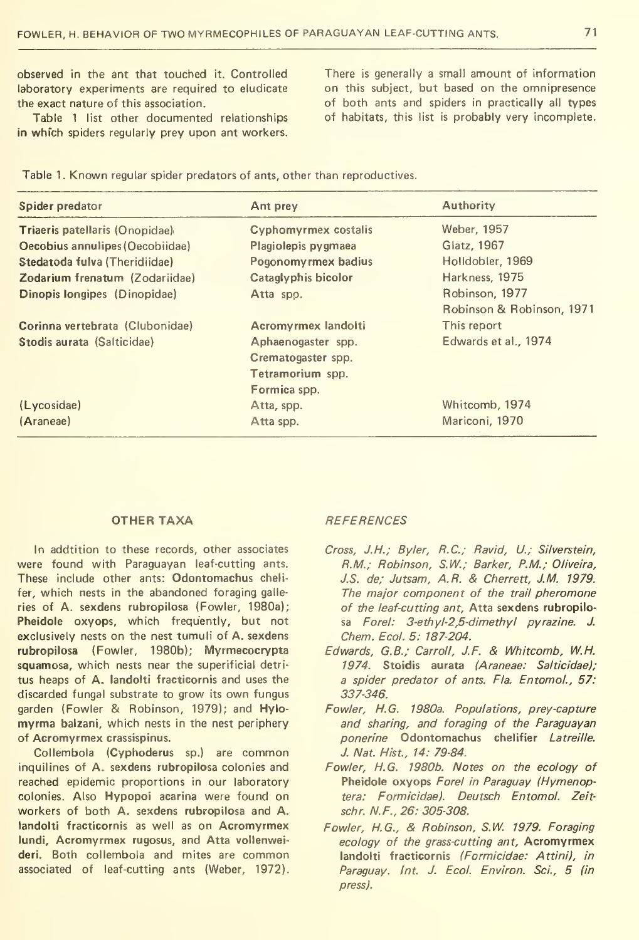observed in the ant that touched it. Controlled laboratory experiments are required to eludicate the exact nature of this association.

Table <sup>1</sup> list other documented relationships in whích spiders regularly prey upon ant workers. There is generally a small amount of information on this subject, but based on the omnipresence of both ants and spiders in practically all types of habitats, this list is probably very incomplete.

| Spider predator                 | Ant prey                    | Authority                 |
|---------------------------------|-----------------------------|---------------------------|
| Triaeris patellaris (Onopidae)  | <b>Cyphomyrmex costalis</b> | Weber, 1957               |
| Oecobius annulipes (Oecobiidae) | Plagiolepis pygmaea         | Glatz, 1967               |
| Stedatoda fulva (Theridiidae)   | Pogonomyrmex badius         | Holldobler, 1969          |
| Zodarium frenatum (Zodariidae)  | Cataglyphis bicolor         | Harkness, 1975            |
| Dinopis longipes (Dinopidae)    | Atta spo.                   | Robinson, 1977            |
|                                 |                             | Robinson & Robinson, 1971 |
| Corinna vertebrata (Clubonidae) | Acromyrmex landolti         | This report               |
| Stodis aurata (Salticidae)      | Aphaenogaster spp.          | Edwards et al., 1974      |
|                                 | Crematogaster spp.          |                           |
|                                 | Tetramorium spp.            |                           |
|                                 | Formica spp.                |                           |
| (Lycosidae)                     | Atta, spp.                  | Whitcomb, 1974            |
| (Araneae)                       | Atta spp.                   | Mariconi, 1970            |

Table 1. Known regular spider predators of ants, other than reproductives.

#### OTHER TAXA

In addtition to these records, other associates were found with Paraguayan leaf-cutting ants. These include other ants: Odontomachus chelifer, which nests in the abandoned foraging galleries of A. sexdens rubropilosa (Fowler, 1980a); Pheidole oxyops, which frequently, but not exclusively nests on the nest tumuli of A. sexdens rubropllosa (Fowler, 1980b); Myrmecocrypta squamosa, which nests near the superificial detritus heaps of A. landolti fracticornis and uses the discarded fungal substrate to grow its own fungus garden (Fowler & Robinson, 1979); and Hylo myrma balzani, which nests in the nest periphery of Acromyrmex crassispinus.

Collembola (Cyphoderus sp.) are common inquilines of A. sexdens rubropllosa colonies and reached epidemic proportions in our laboratory colonies. Also Hypopoi acarina were found on workers of both A. sexdens rubropilosa and A. landolti fracticornis as well as on Acromyrmex lundi, Acromyrmex rugosus, and Atta vollenweideri. Both collembola and mites are common associated of leaf-cutting ants (Weber, 1972).

### **REFERENCES**

- Cross, J.H.; Byler, R.C.; Ravid, U.; Silverstein, R.M.; Robinson, S.W.; Barker, P.M.; Oliveira, J.S. de; Jutsam, A.R. & Cherrett, J.M. 1979. The major component of the trail pheromone of the leaf-cutting ant, Atta sexdens rubropilosa Forel: 3-ethyl-2,5-dimethyl pyrazine. J. Chem. Ecol. 5: 187-204.
- Edwards, G.B.; CarrolI, J.F. & Whitcomb, W.H. 1974. Stoidis aurata (Araneae: Salticidae); a spider predator of ants. Fla. Entomol., 57: 337-346.
- Fowler, H.G. 1980a. Populations, prey-capture and sharing, and foraging of the Paraguayan ponerine Odontomachus chelifier Latreille. J. Nat. Hist, 14: 79-84.
- Fowler, H.G. 1980b. Notes on the ecology of Pheidole oxyops Forel in Paraguay (Hymenoptera: Formicidae). Deutsch Entomol. Zeitschr. N.F., 26: 305-308.
- Fowler, H.G., & Robinson, S.W. 1979. Foraging ecology of the grass-cutting ant, Acromyrmex landolti fracticornis (Formicidae: Attini), in Paraguay. Int. J. Ecol. Environ. Sci., 5 (in press).